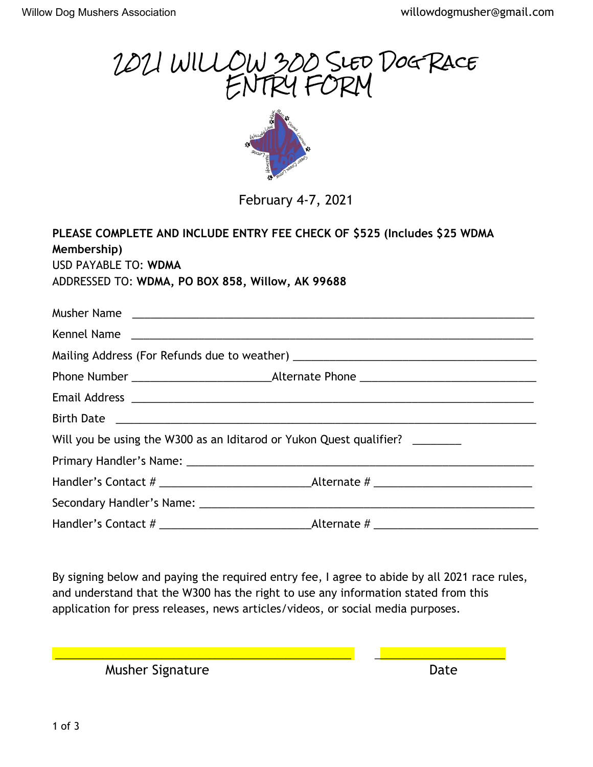

By signing below and paying the required entry fee, I agree to abide by all 2021 race rules, and understand that the W300 has the right to use any information stated from this application for press releases, news articles/videos, or social media purposes.

 $\mathcal{L}_\mathcal{L} = \mathcal{L}_\mathcal{L} = \mathcal{L}_\mathcal{L} = \mathcal{L}_\mathcal{L} = \mathcal{L}_\mathcal{L} = \mathcal{L}_\mathcal{L} = \mathcal{L}_\mathcal{L} = \mathcal{L}_\mathcal{L} = \mathcal{L}_\mathcal{L} = \mathcal{L}_\mathcal{L} = \mathcal{L}_\mathcal{L} = \mathcal{L}_\mathcal{L} = \mathcal{L}_\mathcal{L} = \mathcal{L}_\mathcal{L} = \mathcal{L}_\mathcal{L} = \mathcal{L}_\mathcal{L} = \mathcal{L}_\mathcal{L}$ 

Musher Signature **Date** Date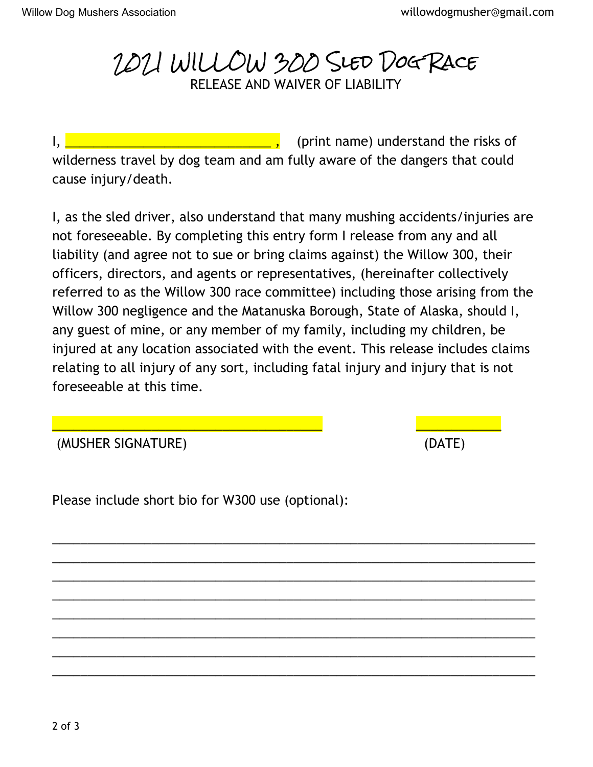2021 WILLOW 300 Sled Dog Race RELEASE AND WAIVER OF LIABILITY

I, **EXECUTE:** THE LIGATE **I**, (print name) understand the risks of wilderness travel by dog team and am fully aware of the dangers that could cause injury/death.

I, as the sled driver, also understand that many mushing accidents/injuries are not foreseeable. By completing this entry form I release from any and all liability (and agree not to sue or bring claims against) the Willow 300, their officers, directors, and agents or representatives, (hereinafter collectively referred to as the Willow 300 race committee) including those arising from the Willow 300 negligence and the Matanuska Borough, State of Alaska, should I, any guest of mine, or any member of my family, including my children, be injured at any location associated with the event. This release includes claims relating to all injury of any sort, including fatal injury and injury that is not foreseeable at this time.

\_\_\_\_\_\_\_\_\_\_\_\_\_\_\_\_\_\_\_\_\_\_\_\_\_\_\_\_\_\_\_\_\_\_\_\_\_\_\_\_\_\_\_\_\_\_\_\_\_\_\_\_\_\_\_\_\_\_\_\_\_\_\_\_\_\_\_\_ \_\_\_\_\_\_\_\_\_\_\_\_\_\_\_\_\_\_\_\_\_\_\_\_\_\_\_\_\_\_\_\_\_\_\_\_\_\_\_\_\_\_\_\_\_\_\_\_\_\_\_\_\_\_\_\_\_\_\_\_\_\_\_\_\_\_\_\_ \_\_\_\_\_\_\_\_\_\_\_\_\_\_\_\_\_\_\_\_\_\_\_\_\_\_\_\_\_\_\_\_\_\_\_\_\_\_\_\_\_\_\_\_\_\_\_\_\_\_\_\_\_\_\_\_\_\_\_\_\_\_\_\_\_\_\_\_ \_\_\_\_\_\_\_\_\_\_\_\_\_\_\_\_\_\_\_\_\_\_\_\_\_\_\_\_\_\_\_\_\_\_\_\_\_\_\_\_\_\_\_\_\_\_\_\_\_\_\_\_\_\_\_\_\_\_\_\_\_\_\_\_\_\_\_\_ \_\_\_\_\_\_\_\_\_\_\_\_\_\_\_\_\_\_\_\_\_\_\_\_\_\_\_\_\_\_\_\_\_\_\_\_\_\_\_\_\_\_\_\_\_\_\_\_\_\_\_\_\_\_\_\_\_\_\_\_\_\_\_\_\_\_\_\_ \_\_\_\_\_\_\_\_\_\_\_\_\_\_\_\_\_\_\_\_\_\_\_\_\_\_\_\_\_\_\_\_\_\_\_\_\_\_\_\_\_\_\_\_\_\_\_\_\_\_\_\_\_\_\_\_\_\_\_\_\_\_\_\_\_\_\_\_ \_\_\_\_\_\_\_\_\_\_\_\_\_\_\_\_\_\_\_\_\_\_\_\_\_\_\_\_\_\_\_\_\_\_\_\_\_\_\_\_\_\_\_\_\_\_\_\_\_\_\_\_\_\_\_\_\_\_\_\_\_\_\_\_\_\_\_\_ \_\_\_\_\_\_\_\_\_\_\_\_\_\_\_\_\_\_\_\_\_\_\_\_\_\_\_\_\_\_\_\_\_\_\_\_\_\_\_\_\_\_\_\_\_\_\_\_\_\_\_\_\_\_\_\_\_\_\_\_\_\_\_\_\_\_\_\_

(MUSHER SIGNATURE) (DATE)

Please include short bio for W300 use (optional):

2 of 3